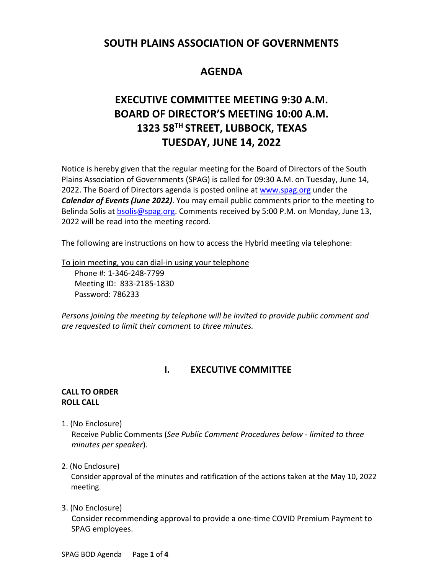## **SOUTH PLAINS ASSOCIATION OF GOVERNMENTS**

## **AGENDA**

# **EXECUTIVE COMMITTEE MEETING 9:30 A.M. BOARD OF DIRECTOR'S MEETING 10:00 A.M. 1323 58TH STREET, LUBBOCK, TEXAS TUESDAY, JUNE 14, 2022**

Notice is hereby given that the regular meeting for the Board of Directors of the South Plains Association of Governments (SPAG) is called for 09:30 A.M. on Tuesday, June 14, 2022. The Board of Directors agenda is posted online at [www.spag.org](http://www.spag.org/) under the *Calendar of Events (June 2022)*. You may email public comments prior to the meeting to Belinda Solis at **bsolis@spag.org.** Comments received by 5:00 P.M. on Monday, June 13, 2022 will be read into the meeting record.

The following are instructions on how to access the Hybrid meeting via telephone:

To join meeting, you can dial-in using your telephone

Phone #: 1-346-248-7799 Meeting ID: 833-2185-1830 Password: 786233

*Persons joining the meeting by telephone will be invited to provide public comment and are requested to limit their comment to three minutes.*

## **I. EXECUTIVE COMMITTEE**

#### **CALL TO ORDER ROLL CALL**

1. (No Enclosure)

 Receive Public Comments (*See Public Comment Procedures below - limited to three minutes per speaker*).

### 2. (No Enclosure)

Consider approval of the minutes and ratification of the actions taken at the May 10, 2022 meeting.

3. (No Enclosure)

 Consider recommending approval to provide a one-time COVID Premium Payment to SPAG employees.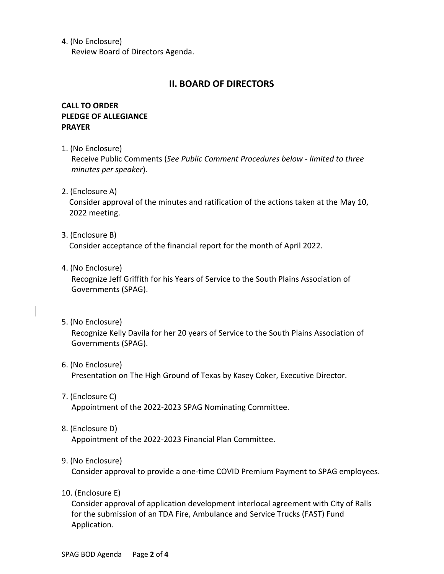4. (No Enclosure)

Review Board of Directors Agenda.

#### **II. BOARD OF DIRECTORS**

#### **CALL TO ORDER PLEDGE OF ALLEGIANCE PRAYER**

1. (No Enclosure)

Receive Public Comments (*See Public Comment Procedures below - limited to three minutes per speaker*).

2. (Enclosure A)

Consider approval of the minutes and ratification of the actions taken at the May 10, 2022 meeting.

3. (Enclosure B)

Consider acceptance of the financial report for the month of April 2022.

4. (No Enclosure)

Recognize Jeff Griffith for his Years of Service to the South Plains Association of Governments (SPAG).

5. (No Enclosure)

Recognize Kelly Davila for her 20 years of Service to the South Plains Association of Governments (SPAG).

- 6. (No Enclosure) Presentation on The High Ground of Texas by Kasey Coker, Executive Director.
- 7. (Enclosure C) Appointment of the 2022-2023 SPAG Nominating Committee.
- 8. (Enclosure D)

Appointment of the 2022-2023 Financial Plan Committee.

9. (No Enclosure)

Consider approval to provide a one-time COVID Premium Payment to SPAG employees.

10. (Enclosure E)

Consider approval of application development interlocal agreement with City of Ralls for the submission of an TDA Fire, Ambulance and Service Trucks (FAST) Fund Application.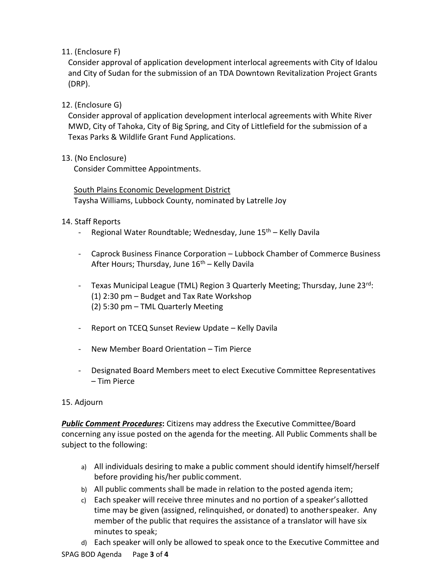11. (Enclosure F)

Consider approval of application development interlocal agreements with City of Idalou and City of Sudan for the submission of an TDA Downtown Revitalization Project Grants (DRP).

#### 12. (Enclosure G)

Consider approval of application development interlocal agreements with White River MWD, City of Tahoka, City of Big Spring, and City of Littlefield for the submission of a Texas Parks & Wildlife Grant Fund Applications.

#### 13. (No Enclosure)

Consider Committee Appointments.

South Plains Economic Development District Taysha Williams, Lubbock County, nominated by Latrelle Joy

#### 14. Staff Reports

- Regional Water Roundtable; Wednesday, June 15<sup>th</sup> Kelly Davila
- Caprock Business Finance Corporation Lubbock Chamber of Commerce Business After Hours; Thursday, June  $16<sup>th</sup>$  – Kelly Davila
- Texas Municipal League (TML) Region 3 Quarterly Meeting; Thursday, June 23<sup>rd</sup>: (1) 2:30 pm – Budget and Tax Rate Workshop (2) 5:30 pm – TML Quarterly Meeting
- Report on TCEQ Sunset Review Update Kelly Davila
- New Member Board Orientation Tim Pierce
- Designated Board Members meet to elect Executive Committee Representatives – Tim Pierce

#### 15. Adjourn

*Public Comment Procedures***:** Citizens may address the Executive Committee/Board concerning any issue posted on the agenda for the meeting. All Public Comments shall be subject to the following:

- a) All individuals desiring to make a public comment should identify himself/herself before providing his/her public comment.
- b) All public comments shall be made in relation to the posted agenda item;
- c) Each speaker will receive three minutes and no portion of a speaker's allotted time may be given (assigned, relinquished, or donated) to anotherspeaker. Any member of the public that requires the assistance of a translator will have six minutes to speak;
- d) Each speaker will only be allowed to speak once to the Executive Committee and